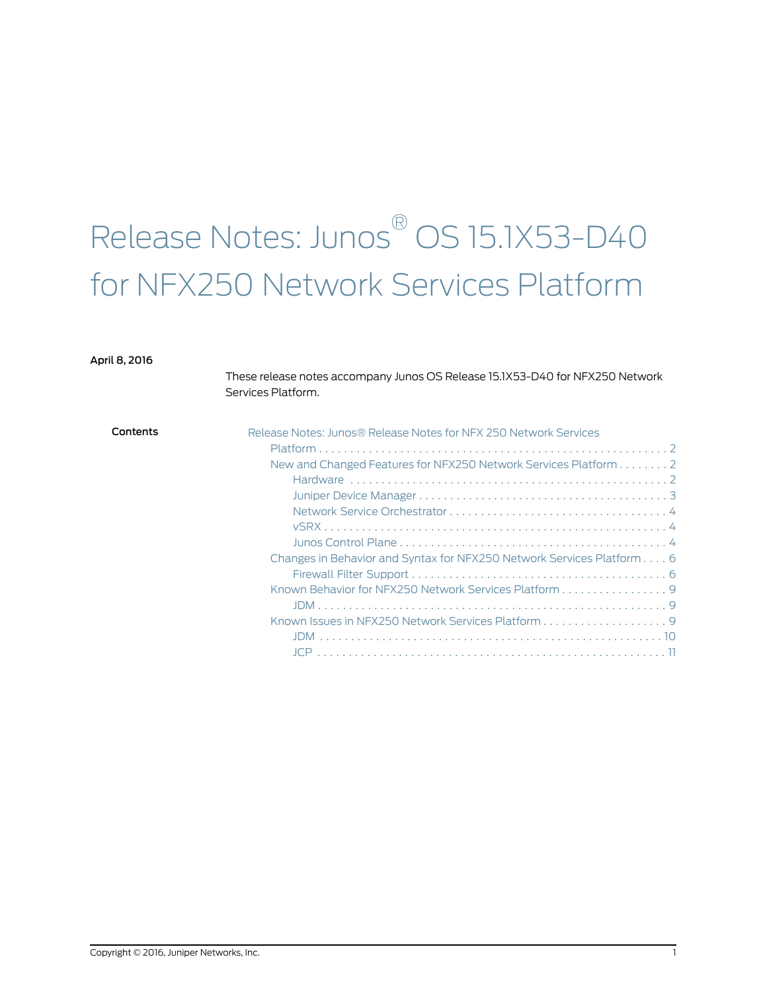# Release Notes: Junos ® OS 15.1X53-D40 for NFX250 Network Services Platform

### April 8, 2016

These release notes accompany Junos OS Release 15.1X53-D40 for NFX250 Network Services Platform.

| Contents<br>Release Notes: Junos® Release Notes for NFX 250 Network Services |  |
|------------------------------------------------------------------------------|--|
|                                                                              |  |
| New and Changed Features for NFX250 Network Services Platform 2              |  |
|                                                                              |  |
|                                                                              |  |
|                                                                              |  |
|                                                                              |  |
|                                                                              |  |
| Changes in Behavior and Syntax for NFX250 Network Services Platform 6        |  |
|                                                                              |  |
| Known Behavior for NFX250 Network Services Platform 9                        |  |
|                                                                              |  |
|                                                                              |  |
|                                                                              |  |
|                                                                              |  |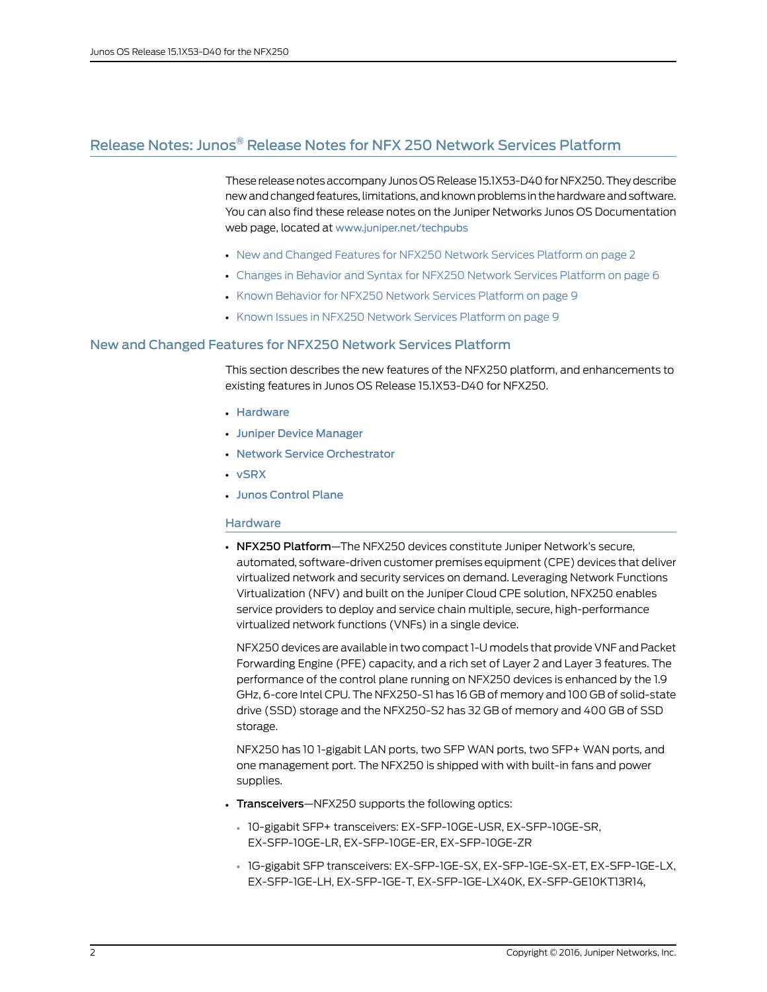### <span id="page-1-0"></span>Release Notes: Junos ® Release Notes for NFX 250 Network Services Platform

These release notes accompany Junos OS Release 15.1X53-D40 for NFX250. They describe new and changed features, limitations, and known problems in the hardware and software. You can also find these release notes on the Juniper Networks Junos OS Documentation web page, located at <www.juniper.net/techpubs>

- New and [Changed](#page-1-1) Features for NFX250 Network Services Platform on [page](#page-1-1) 2
- Changes in Behavior and Syntax for NFX250 Network Services [Platform](#page-5-0) on [page](#page-5-0) 6
- Known Behavior for NFX250 Network Services [Platform](#page-8-0) on [page](#page-8-0) 9
- Known Issues in NFX250 Network Services [Platform](#page-8-2) on [page](#page-8-2) 9

### <span id="page-1-1"></span>New and Changed Features for NFX250 Network Services Platform

This section describes the new features of the NFX250 platform, and enhancements to existing features in Junos OS Release 15.1X53-D40 for NFX250.

- [Hardware](#page-1-2)
- Juniper Device [Manager](#page-2-0)
- Network Service [Orchestrator](#page-3-0)
- <span id="page-1-2"></span>• [vSRX](#page-3-1)
- Junos [Control](#page-3-2) Plane

### **Hardware**

• NFX250 Platform—The NFX250 devices constitute Juniper Network's secure, automated, software-driven customer premises equipment (CPE) devices that deliver virtualized network and security services on demand. Leveraging Network Functions Virtualization (NFV) and built on the Juniper Cloud CPE solution, NFX250 enables service providers to deploy and service chain multiple, secure, high-performance virtualized network functions (VNFs) in a single device.

NFX250 devices are available in two compact 1-U models that provide VNF and Packet Forwarding Engine (PFE) capacity, and a rich set of Layer 2 and Layer 3 features. The performance of the control plane running on NFX250 devices is enhanced by the 1.9 GHz, 6-core Intel CPU. The NFX250-S1 has 16 GB of memory and 100 GB of solid-state drive (SSD) storage and the NFX250-S2 has 32 GB of memory and 400 GB of SSD storage.

NFX250 has 10 1-gigabit LAN ports, two SFP WAN ports, two SFP+ WAN ports, and one management port. The NFX250 is shipped with with built-in fans and power supplies.

- Transceivers-NFX250 supports the following optics:
	- 10-gigabit SFP+ transceivers: EX-SFP-10GE-USR, EX-SFP-10GE-SR, EX-SFP-10GE-LR, EX-SFP-10GE-ER, EX-SFP-10GE-ZR
	- 1G-gigabit SFP transceivers: EX-SFP-1GE-SX, EX-SFP-1GE-SX-ET, EX-SFP-1GE-LX, EX-SFP-1GE-LH, EX-SFP-1GE-T, EX-SFP-1GE-LX40K, EX-SFP-GE10KT13R14,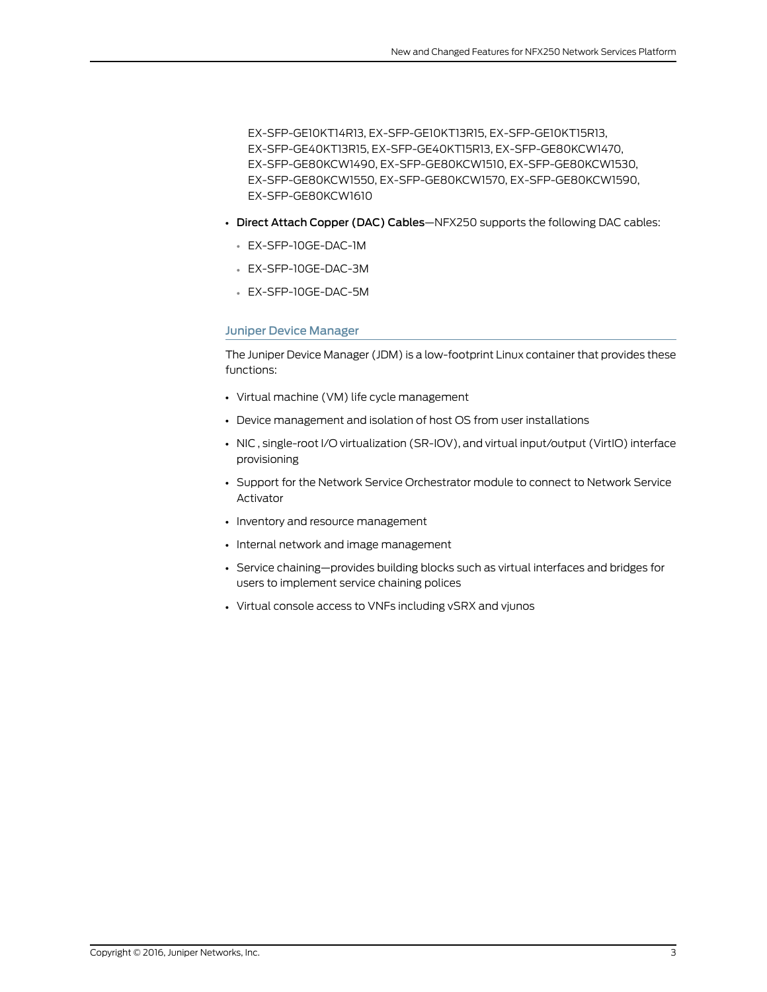EX-SFP-GE10KT14R13, EX-SFP-GE10KT13R15, EX-SFP-GE10KT15R13, EX-SFP-GE40KT13R15, EX-SFP-GE40KT15R13, EX-SFP-GE80KCW1470, EX-SFP-GE80KCW1490, EX-SFP-GE80KCW1510, EX-SFP-GE80KCW1530, EX-SFP-GE80KCW1550, EX-SFP-GE80KCW1570, EX-SFP-GE80KCW1590, EX-SFP-GE80KCW1610

- Direct Attach Copper (DAC) Cables—NFX250 supports the following DAC cables:
	- EX-SFP-10GE-DAC-1M
	- EX-SFP-10GE-DAC-3M
	- EX-SFP-10GE-DAC-5M

### <span id="page-2-0"></span>Juniper Device Manager

The Juniper Device Manager (JDM) is a low-footprint Linux container that provides these functions:

- Virtual machine (VM) life cycle management
- Device management and isolation of host OS from user installations
- NIC , single-root I/O virtualization (SR-IOV), and virtual input/output (VirtIO) interface provisioning
- Support for the Network Service Orchestrator module to connect to Network Service Activator
- Inventory and resource management
- Internal network and image management
- Service chaining—provides building blocks such as virtual interfaces and bridges for users to implement service chaining polices
- Virtual console access to VNFs including vSRX and vjunos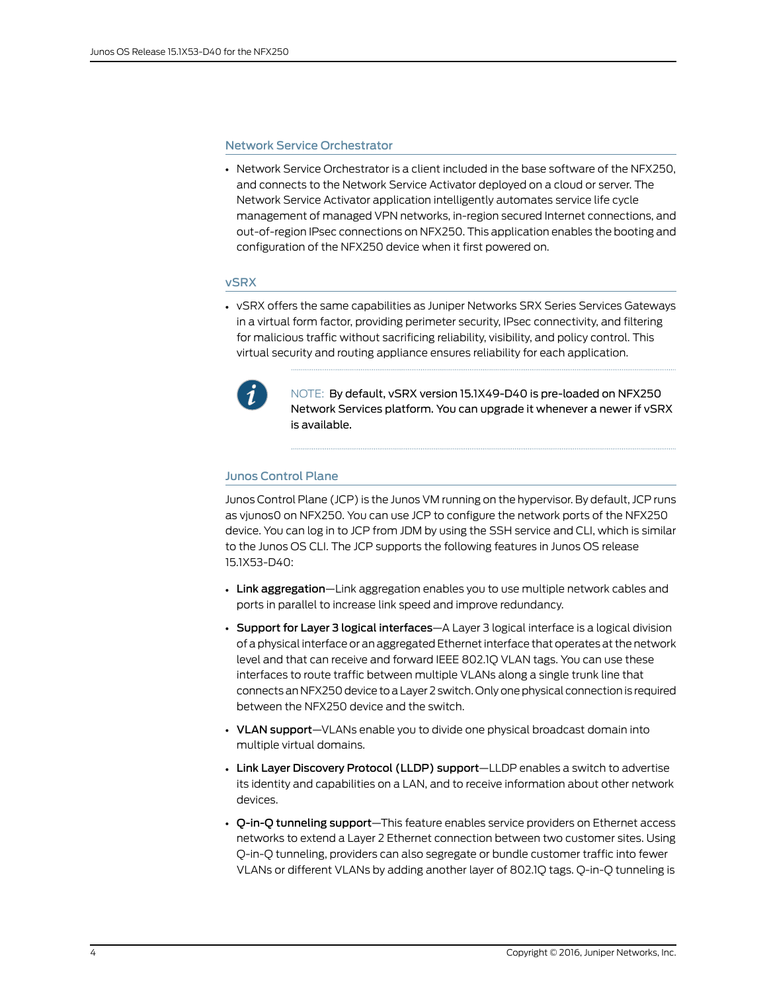### <span id="page-3-0"></span>Network Service Orchestrator

• Network Service Orchestrator is a client included in the base software of the NFX250, and connects to the Network Service Activator deployed on a cloud or server. The Network Service Activator application intelligently automates service life cycle management of managed VPN networks, in-region secured Internet connections, and out-of-region IPsec connections on NFX250. This application enables the booting and configuration of the NFX250 device when it first powered on.

### <span id="page-3-1"></span>vSRX

• vSRX offers the same capabilities as Juniper Networks SRX Series Services Gateways in a virtual form factor, providing perimeter security, IPsec connectivity, and filtering for malicious traffic without sacrificing reliability, visibility, and policy control. This virtual security and routing appliance ensures reliability for each application.



NOTE: By default, vSRX version 15.1X49-D40 is pre-loaded on NFX250 Network Services platform. You can upgrade it whenever a newer if vSRX is available.

### <span id="page-3-2"></span>Junos Control Plane

Junos Control Plane (JCP) is the Junos VM running on the hypervisor. By default, JCP runs as vjunos0 on NFX250. You can use JCP to configure the network ports of the NFX250 device. You can log in to JCP from JDM by using the SSH service and CLI, which is similar to the Junos OS CLI. The JCP supports the following features in Junos OS release 15.1X53-D40:

- Link aggregation—Link aggregation enables you to use multiple network cables and ports in parallel to increase link speed and improve redundancy.
- Support for Layer 3 logical interfaces—A Layer 3 logical interface is a logical division of a physical interface or an aggregated Ethernet interface that operates at the network level and that can receive and forward IEEE 802.1Q VLAN tags. You can use these interfaces to route traffic between multiple VLANs along a single trunk line that connects an NFX250 device to a Layer 2 switch. Only onephysical connection is required between the NFX250 device and the switch.
- VLAN support-VLANs enable you to divide one physical broadcast domain into multiple virtual domains.
- Link Layer Discovery Protocol (LLDP) support—LLDP enables a switch to advertise its identity and capabilities on a LAN, and to receive information about other network devices.
- Q-in-Q tunneling support—This feature enables service providers on Ethernet access networks to extend a Layer 2 Ethernet connection between two customer sites. Using Q-in-Q tunneling, providers can also segregate or bundle customer traffic into fewer VLANs or different VLANs by adding another layer of 802.1Q tags. Q-in-Q tunneling is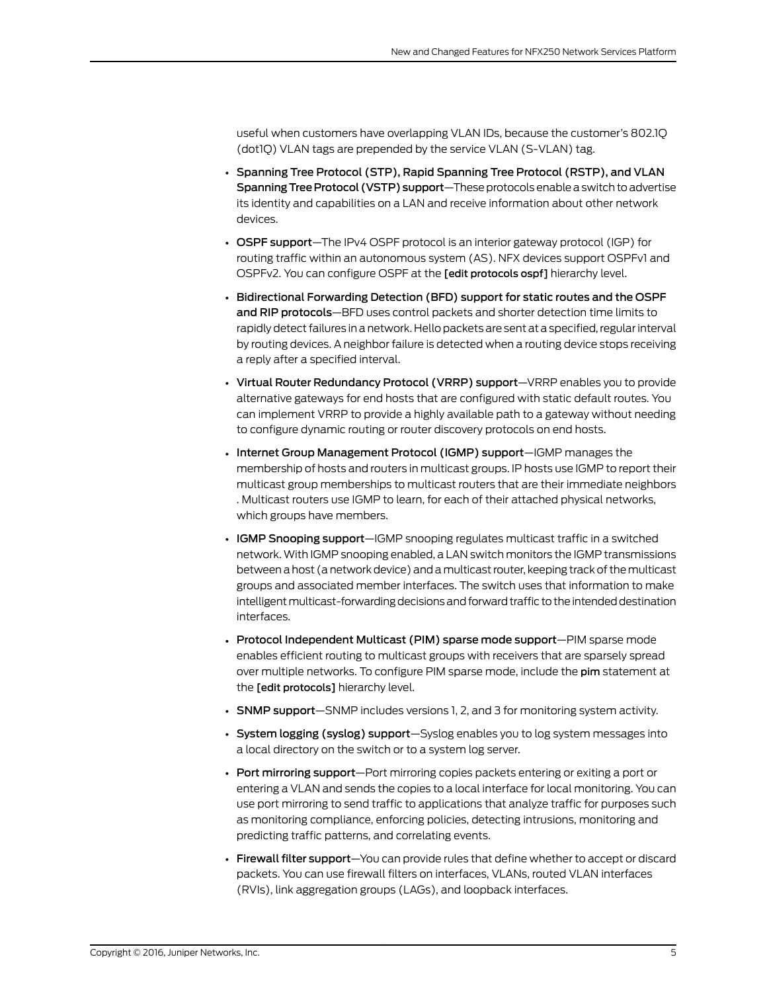useful when customers have overlapping VLAN IDs, because the customer's 802.1Q (dot1Q) VLAN tags are prepended by the service VLAN (S-VLAN) tag.

- Spanning Tree Protocol (STP), Rapid Spanning Tree Protocol (RSTP), and VLAN Spanning Tree Protocol (VSTP) support—These protocols enable a switch to advertise its identity and capabilities on a LAN and receive information about other network devices.
- OSPF support—The IPv4 OSPF protocol is an interior gateway protocol (IGP) for routing traffic within an autonomous system (AS). NFX devices support OSPFv1 and OSPFv2. You can configure OSPF at the [edit protocols ospf] hierarchy level.
- Bidirectional Forwarding Detection (BFD) support for static routes and the OSPF and RIP protocols—BFD uses control packets and shorter detection time limits to rapidly detect failures in a network. Hello packets are sent at a specified, regular interval by routing devices. A neighbor failure is detected when a routing device stops receiving a reply after a specified interval.
- Virtual Router Redundancy Protocol (VRRP) support—VRRP enables you to provide alternative gateways for end hosts that are configured with static default routes. You can implement VRRP to provide a highly available path to a gateway without needing to configure dynamic routing or router discovery protocols on end hosts.
- Internet Group Management Protocol (IGMP) support—IGMP manages the membership of hosts and routers in multicast groups. IP hosts use IGMP to report their multicast group memberships to multicast routers that are their immediate neighbors . Multicast routers use IGMP to learn, for each of their attached physical networks, which groups have members.
- IGMP Snooping support—IGMP snooping regulates multicast traffic in a switched network. With IGMP snooping enabled, a LAN switch monitors the IGMP transmissions between a host (a network device) and amulticast router, keeping track of themulticast groups and associated member interfaces. The switch uses that information to make intelligent multicast-forwarding decisions and forward traffic to the intended destination interfaces.
- Protocol Independent Multicast (PIM) sparse mode support-PIM sparse mode enables efficient routing to multicast groups with receivers that are sparsely spread over multiple networks. To configure PIM sparse mode, include the pim statement at the [edit protocols] hierarchy level.
- SNMP support—SNMP includes versions 1, 2, and 3 for monitoring system activity.
- System logging (syslog) support—Syslog enables you to log system messages into a local directory on the switch or to a system log server.
- Port mirroring support—Port mirroring copies packets entering or exiting a port or entering a VLAN and sends the copies to a local interface for local monitoring. You can use port mirroring to send traffic to applications that analyze traffic for purposes such as monitoring compliance, enforcing policies, detecting intrusions, monitoring and predicting traffic patterns, and correlating events.
- Firewall filter support—You can provide rules that define whether to accept or discard packets. You can use firewall filters on interfaces, VLANs, routed VLAN interfaces (RVIs), link aggregation groups (LAGs), and loopback interfaces.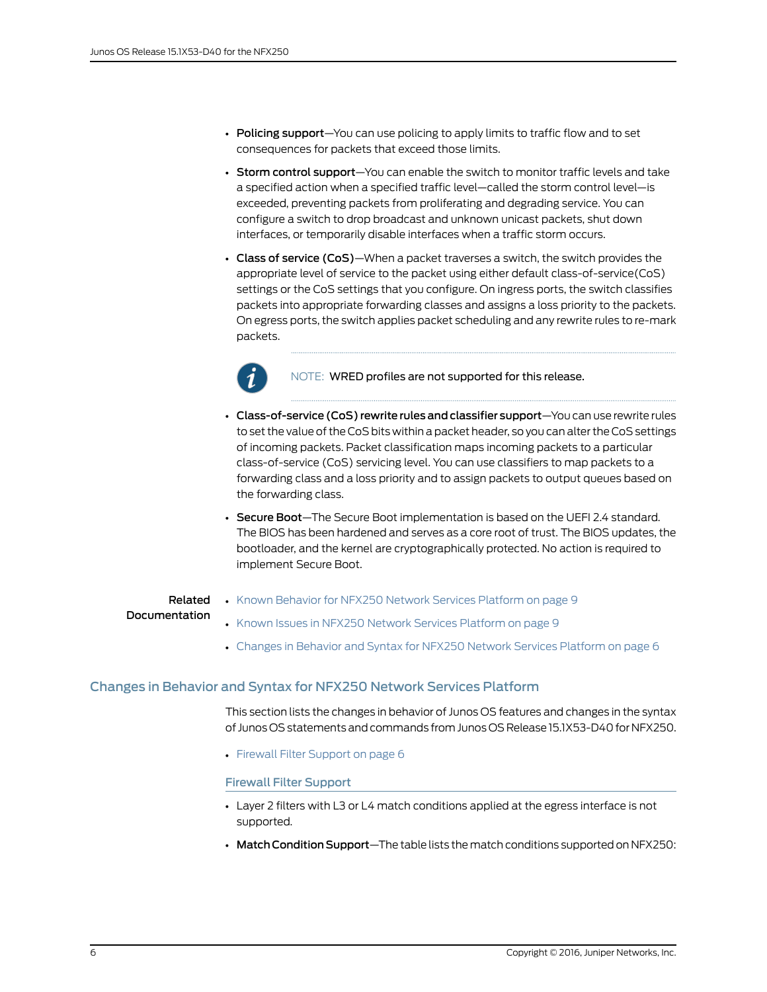- Policing support-You can use policing to apply limits to traffic flow and to set consequences for packets that exceed those limits.
- Storm control support-You can enable the switch to monitor traffic levels and take a specified action when a specified traffic level—called the storm control level—is exceeded, preventing packets from proliferating and degrading service. You can configure a switch to drop broadcast and unknown unicast packets, shut down interfaces, or temporarily disable interfaces when a traffic storm occurs.
- Class of service (CoS)—When a packet traverses a switch, the switch provides the appropriate level of service to the packet using either default class-of-service(CoS) settings or the CoS settings that you configure. On ingress ports, the switch classifies packets into appropriate forwarding classes and assigns a loss priority to the packets. On egress ports, the switch applies packet scheduling and any rewrite rules to re-mark packets.



NOTE: WRED profiles are not supported for this release.

- Class-of-service (CoS) rewrite rules and classifier support-You can use rewrite rules to set the value of the CoS bits within a packet header, so you can alter the CoS settings of incoming packets. Packet classification maps incoming packets to a particular class-of-service (CoS) servicing level. You can use classifiers to map packets to a forwarding class and a loss priority and to assign packets to output queues based on the forwarding class.
- Secure Boot-The Secure Boot implementation is based on the UEFI 2.4 standard. The BIOS has been hardened and serves as a core root of trust. The BIOS updates, the bootloader, and the kernel are cryptographically protected. No action is required to implement Secure Boot.

### Related Documentation

- Known Behavior for NFX250 Network Services [Platform](#page-8-0) on page 9
- <span id="page-5-0"></span>
- Known Issues in NFX250 Network Services [Platform](#page-8-2) on page 9
- Changes in Behavior and Syntax for NFX250 Network Services [Platform](#page-5-0) on page 6

### Changes in Behavior and Syntax for NFX250 Network Services Platform

<span id="page-5-1"></span>This section lists the changes in behavior of Junos OS features and changes in the syntax of Junos OS statements and commands fromJunos OS Release 15.1X53-D40 for NFX250.

• Firewall Filter [Support](#page-5-1) on [page](#page-5-1) 6

### Firewall Filter Support

- Layer 2 filters with L3 or L4 match conditions applied at the egress interface is not supported.
- Match Condition Support-The table lists the match conditions supported on NFX250: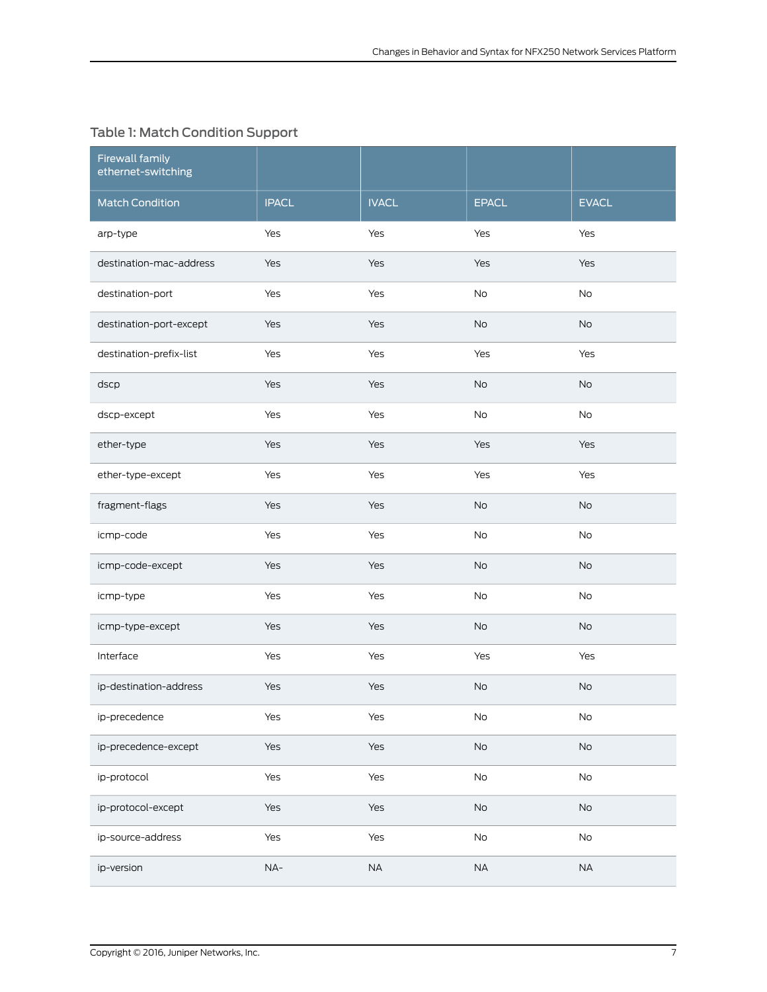## Table 1: Match Condition Support

| <b>Firewall family</b><br>ethernet-switching |              |              |               |               |
|----------------------------------------------|--------------|--------------|---------------|---------------|
| <b>Match Condition</b>                       | <b>IPACL</b> | <b>IVACL</b> | <b>EPACL</b>  | <b>EVACL</b>  |
| arp-type                                     | Yes          | Yes          | Yes           | Yes           |
| destination-mac-address                      | Yes          | Yes          | Yes           | Yes           |
| destination-port                             | Yes          | Yes          | <b>No</b>     | No            |
| destination-port-except                      | Yes          | Yes          | <b>No</b>     | <b>No</b>     |
| destination-prefix-list                      | Yes          | Yes          | Yes           | Yes           |
| dscp                                         | Yes          | Yes          | <b>No</b>     | <b>No</b>     |
| dscp-except                                  | Yes          | Yes          | <b>No</b>     | <b>No</b>     |
| ether-type                                   | Yes          | Yes          | Yes           | Yes           |
| ether-type-except                            | Yes          | Yes          | Yes           | Yes           |
| fragment-flags                               | Yes          | Yes          | <b>No</b>     | <b>No</b>     |
| icmp-code                                    | Yes          | Yes          | <b>No</b>     | <b>No</b>     |
| icmp-code-except                             | Yes          | Yes          | No            | <b>No</b>     |
| icmp-type                                    | Yes          | Yes          | No            | No            |
| icmp-type-except                             | Yes          | Yes          | No            | No            |
| Interface                                    | Yes          | Yes          | Yes           | Yes           |
| ip-destination-address                       | Yes          | Yes          | <b>No</b>     | <b>No</b>     |
| ip-precedence                                | Yes          | Yes          | No            | No            |
| ip-precedence-except                         | Yes          | Yes          | No            | $\mathsf{No}$ |
| ip-protocol                                  | Yes          | Yes          | No            | $\mathsf{No}$ |
| ip-protocol-except                           | Yes          | Yes          | $\mathsf{No}$ | $\mathsf{No}$ |
| ip-source-address                            | Yes          | Yes          | No            | $\mathsf{No}$ |
| ip-version                                   | $NA-$        | $\sf NA$     | NA            | $\sf NA$      |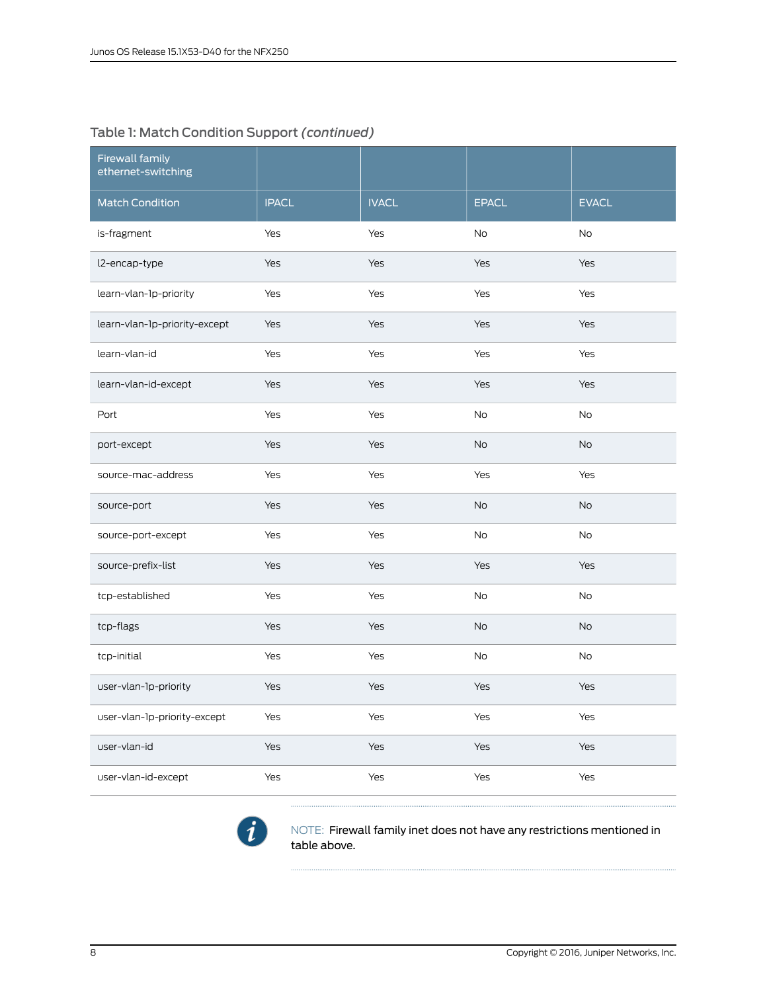### Table 1: Match Condition Support *(continued)*

| <b>Firewall family</b><br>ethernet-switching |              |              |              |              |
|----------------------------------------------|--------------|--------------|--------------|--------------|
| <b>Match Condition</b>                       | <b>IPACL</b> | <b>IVACL</b> | <b>EPACL</b> | <b>EVACL</b> |
| is-fragment                                  | Yes          | Yes          | <b>No</b>    | No           |
| l2-encap-type                                | Yes          | Yes          | Yes          | Yes          |
| learn-vlan-1p-priority                       | Yes          | Yes          | Yes          | Yes          |
| learn-vlan-1p-priority-except                | Yes          | Yes          | Yes          | Yes          |
| learn-vlan-id                                | Yes          | Yes          | Yes          | Yes          |
| learn-vlan-id-except                         | Yes          | Yes          | Yes          | Yes          |
| Port                                         | Yes          | Yes          | <b>No</b>    | <b>No</b>    |
| port-except                                  | Yes          | Yes          | <b>No</b>    | <b>No</b>    |
| source-mac-address                           | Yes          | Yes          | Yes          | Yes          |
| source-port                                  | Yes          | Yes          | No           | <b>No</b>    |
| source-port-except                           | Yes          | Yes          | <b>No</b>    | No           |
| source-prefix-list                           | Yes          | Yes          | Yes          | Yes          |
| tcp-established                              | Yes          | Yes          | No           | No           |
| tcp-flags                                    | Yes          | Yes          | <b>No</b>    | No           |
| tcp-initial                                  | Yes          | Yes          | <b>No</b>    | No           |
| user-vlan-1p-priority                        | Yes          | Yes          | Yes          | Yes          |
| user-vlan-1p-priority-except                 | Yes          | Yes          | Yes          | Yes          |
| user-vlan-id                                 | Yes          | Yes          | Yes          | Yes          |
| user-vlan-id-except                          | Yes          | Yes          | Yes          | Yes          |



NOTE: Firewall family inet does not have any restrictions mentioned in table above.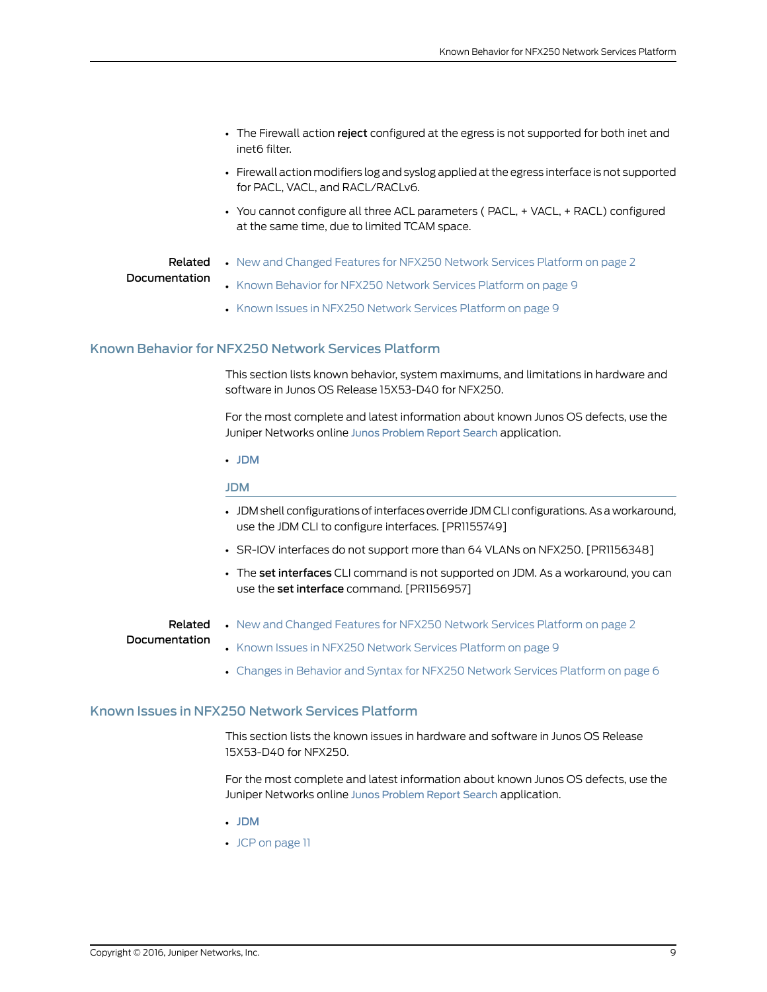- The Firewall action reject configured at the egress is not supported for both inet and inet6 filter.
- Firewall action modifiers log and syslog applied at the egress interface is not supported for PACL, VACL, and RACL/RACLv6.
- You cannot configure all three ACL parameters (PACL, + VACL, + RACL) configured at the same time, due to limited TCAM space.

#### Related • New and [Changed](#page-1-1) Features for NFX250 Network Services Platform on page 2

### Documentation

- Known Behavior for NFX250 Network Services [Platform](#page-8-0) on page 9
- Known Issues in NFX250 Network Services [Platform](#page-8-2) on page 9

### <span id="page-8-0"></span>Known Behavior for NFX250 Network Services Platform

This section lists known behavior, system maximums, and limitations in hardware and software in Junos OS Release 15X53-D40 for NFX250.

For the most complete and latest information about known Junos OS defects, use the Juniper Networks online Junos [Problem](http://prsearch.juniper.net) Report Search application.

<span id="page-8-1"></span>• [JDM](#page-8-1)

### JDM

- JDM shell configurations ofinterfaces override JDM CLI configurations. As a workaround, use the JDM CLI to configure interfaces. [PR1155749]
- SR-IOV interfaces do not support more than 64 VLANs on NFX250. [PR1156348]
- The set interfaces CLI command is not supported on JDM. As a workaround, you can use the set interface command. [PR1156957]

### <span id="page-8-2"></span>Related Documentation

• New and [Changed](#page-1-1) Features for NFX250 Network Services Platform on page 2

### • Known Issues in NFX250 Network Services [Platform](#page-8-2) on page 9

• Changes in Behavior and Syntax for NFX250 Network Services [Platform](#page-5-0) on page 6

### Known Issues in NFX250 Network Services Platform

This section lists the known issues in hardware and software in Junos OS Release 15X53-D40 for NFX250.

For the most complete and latest information about known Junos OS defects, use the Juniper Networks online Junos [Problem](http://prsearch.juniper.net) Report Search application.

- [JDM](#page-9-0)
- JCP on [page](#page-10-0) 11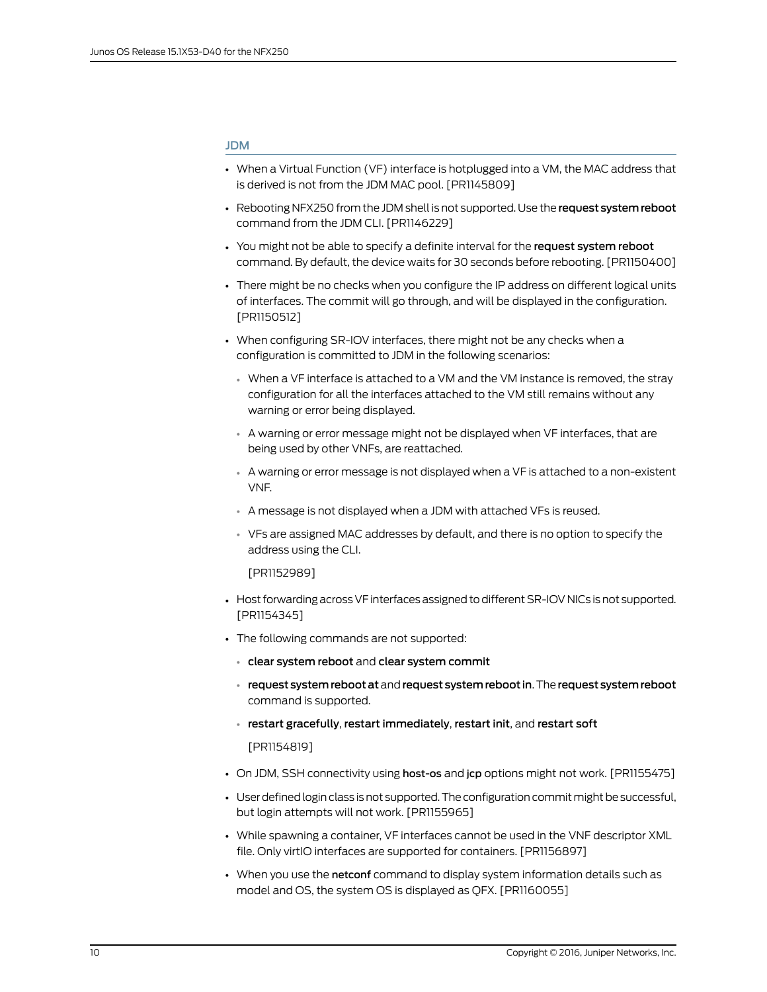### <span id="page-9-0"></span>JDM

- When a Virtual Function (VF) interface is hotplugged into a VM, the MAC address that is derived is not from the JDM MAC pool. [PR1145809]
- Rebooting NFX250 from the JDM shell is not supported. Use the request system reboot command from the JDM CLI. [PR1146229]
- You might not be able to specify a definite interval for the request system reboot command. By default, the device waits for 30 seconds before rebooting. [PR1150400]
- There might be no checks when you configure the IP address on different logical units of interfaces. The commit will go through, and will be displayed in the configuration. [PR1150512]
- When configuring SR-IOV interfaces, there might not be any checks when a configuration is committed to JDM in the following scenarios:
	- When a VF interface is attached to a VM and the VM instance is removed, the stray configuration for all the interfaces attached to the VM still remains without any warning or error being displayed.
	- A warning or error message might not be displayed when VF interfaces, that are being used by other VNFs, are reattached.
	- A warning or error message is not displayed when a VF is attached to a non-existent VNF.
	- A message is not displayed when a JDM with attached VFs is reused.
	- VFs are assigned MAC addresses by default, and there is no option to specify the address using the CLI.

### [PR1152989]

- Host forwarding across VF interfaces assigned to different SR-IOV NICs is not supported. [PR1154345]
- The following commands are not supported:
	- clear system reboot and clear system commit
	- request system reboot at and request system reboot in. The request system reboot command is supported.
	- restart gracefully, restart immediately, restart init, and restart soft

[PR1154819]

- On JDM, SSH connectivity using host-os and jcp options might not work. [PR1155475]
- User defined login class is not supported. The configuration commit might be successful, but login attempts will not work. [PR1155965]
- While spawning a container, VF interfaces cannot be used in the VNF descriptor XML file. Only virtIO interfaces are supported for containers. [PR1156897]
- When you use the netconf command to display system information details such as model and OS, the system OS is displayed as QFX. [PR1160055]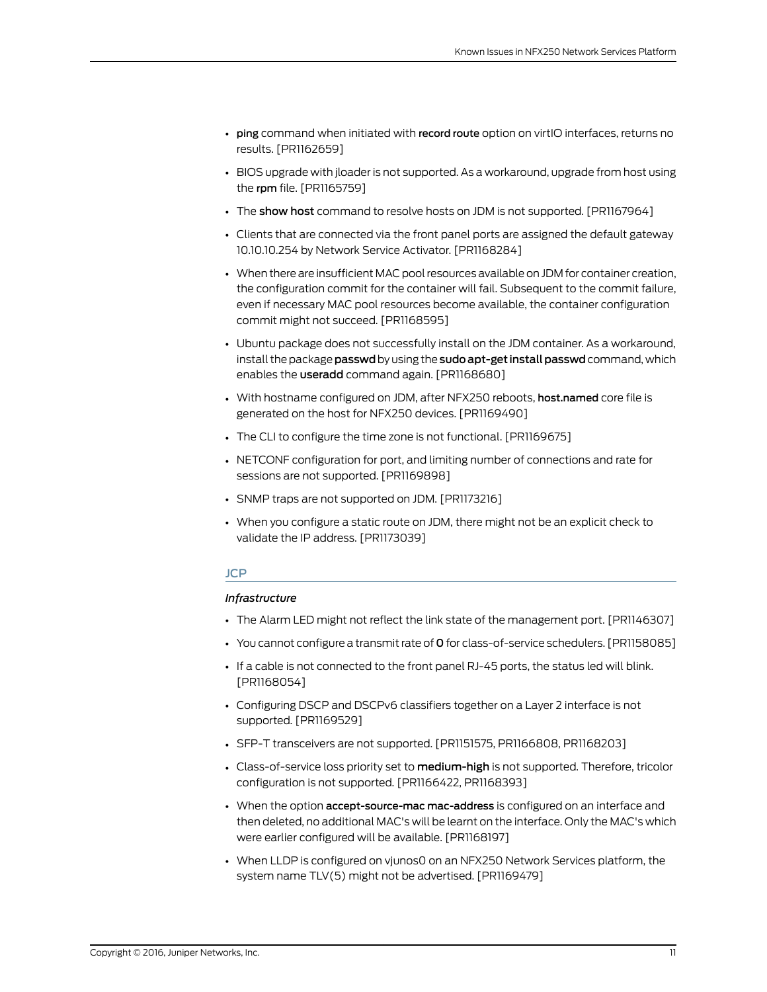- ping command when initiated with record route option on virtIO interfaces, returns no results. [PR1162659]
- BIOS upgrade with jloader is not supported. As a workaround, upgrade from host using the rpm file. [PR1165759]
- The show host command to resolve hosts on JDM is not supported. [PR1167964]
- Clients that are connected via the front panel ports are assigned the default gateway 10.10.10.254 by Network Service Activator. [PR1168284]
- When there are insufficient MAC poolresources available on JDM for container creation, the configuration commit for the container will fail. Subsequent to the commit failure, even if necessary MAC pool resources become available, the container configuration commit might not succeed. [PR1168595]
- Ubuntu package does not successfully install on the JDM container. As a workaround, install the package **passwd** by using the **sudo apt-get install passwd** command, which enables the useradd command again. [PR1168680]
- With hostname configured on JDM, after NFX250 reboots, host.named core file is generated on the host for NFX250 devices. [PR1169490]
- The CLI to configure the time zone is not functional. [PR1169675]
- NETCONF configuration for port, and limiting number of connections and rate for sessions are not supported. [PR1169898]
- SNMP traps are not supported on JDM. [PR1173216]
- <span id="page-10-0"></span>• When you configure a static route on JDM, there might not be an explicit check to validate the IP address. [PR1173039]

### JCP

### *Infrastructure*

- The Alarm LED might not reflect the link state of the management port. [PR1146307]
- You cannot configure a transmit rate of 0 for class-of-service schedulers. [PR1158085]
- If a cable is not connected to the front panel RJ-45 ports, the status led will blink. [PR1168054]
- Configuring DSCP and DSCPv6 classifiers together on a Layer 2 interface is not supported. [PR1169529]
- SFP-T transceivers are not supported. [PR1151575, PR1166808, PR1168203]
- Class-of-service loss priority set to medium-high is not supported. Therefore, tricolor configuration is not supported. [PR1166422, PR1168393]
- When the option accept-source-mac mac-address is configured on an interface and then deleted, no additional MAC's will be learnt on the interface. Only the MAC's which were earlier configured will be available. [PR1168197]
- When LLDP is configured on vjunos0 on an NFX250 Network Services platform, the system name TLV(5) might not be advertised. [PR1169479]